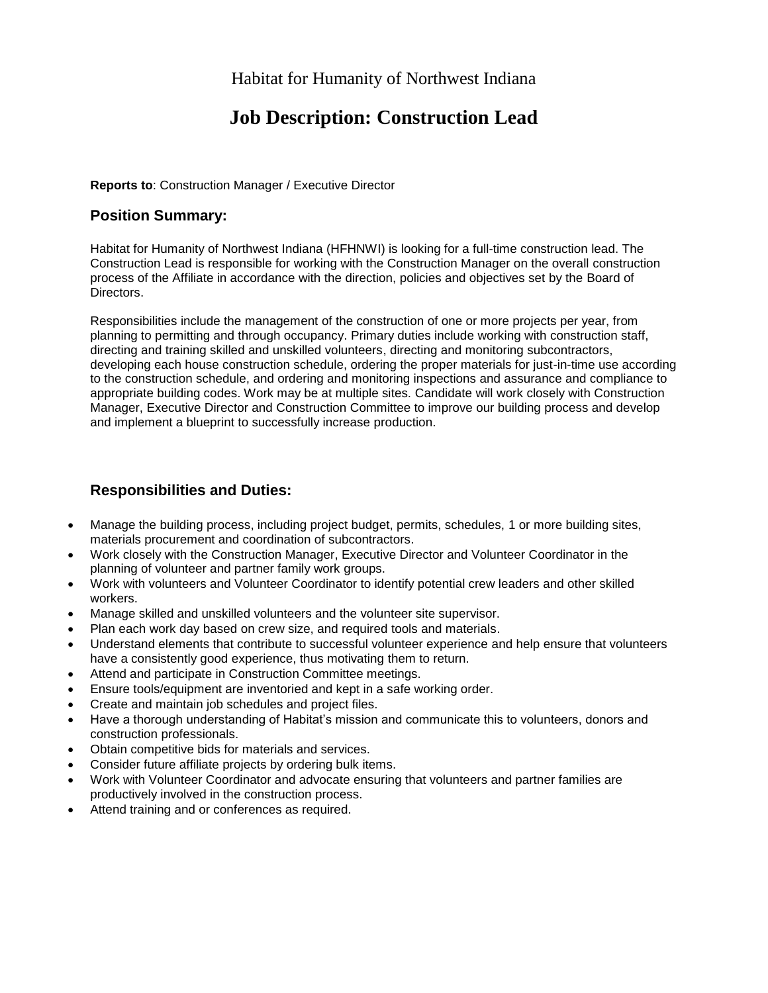## Habitat for Humanity of Northwest Indiana

# **Job Description: Construction Lead**

**Reports to**: Construction Manager / Executive Director

## **Position Summary:**

Habitat for Humanity of Northwest Indiana (HFHNWI) is looking for a full-time construction lead. The Construction Lead is responsible for working with the Construction Manager on the overall construction process of the Affiliate in accordance with the direction, policies and objectives set by the Board of Directors.

Responsibilities include the management of the construction of one or more projects per year, from planning to permitting and through occupancy. Primary duties include working with construction staff, directing and training skilled and unskilled volunteers, directing and monitoring subcontractors, developing each house construction schedule, ordering the proper materials for just-in-time use according to the construction schedule, and ordering and monitoring inspections and assurance and compliance to appropriate building codes. Work may be at multiple sites. Candidate will work closely with Construction Manager, Executive Director and Construction Committee to improve our building process and develop and implement a blueprint to successfully increase production.

## **Responsibilities and Duties:**

- Manage the building process, including project budget, permits, schedules, 1 or more building sites, materials procurement and coordination of subcontractors.
- Work closely with the Construction Manager, Executive Director and Volunteer Coordinator in the planning of volunteer and partner family work groups.
- Work with volunteers and Volunteer Coordinator to identify potential crew leaders and other skilled workers.
- Manage skilled and unskilled volunteers and the volunteer site supervisor.
- Plan each work day based on crew size, and required tools and materials.
- Understand elements that contribute to successful volunteer experience and help ensure that volunteers have a consistently good experience, thus motivating them to return.
- Attend and participate in Construction Committee meetings.
- Ensure tools/equipment are inventoried and kept in a safe working order.
- Create and maintain job schedules and project files.
- Have a thorough understanding of Habitat's mission and communicate this to volunteers, donors and construction professionals.
- Obtain competitive bids for materials and services.
- Consider future affiliate projects by ordering bulk items.
- Work with Volunteer Coordinator and advocate ensuring that volunteers and partner families are productively involved in the construction process.
- Attend training and or conferences as required.